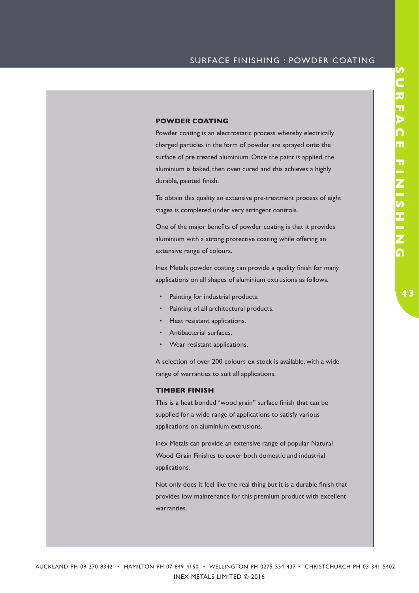## SURFACE FINISHING : POWDER COATING

## **POWDER COATING**

Powder coating is an electrostatic process whereby electrically charged particles in the form of powder are sprayed onto the surface of pre treated aluminium. Once the paint is applied, the aluminium is baked, then oven cured and this achieves a highly durable, painted finish.

To obtain this quality an extensive pre-treatment process of eight stages is completed under very stringent controls.

One of the major benefits of powder coating is that it provides aluminium with a strong protective coating while offering an extensive range of colours.

Inex Metals powder coating can provide a quality finish for many applications on all shapes of aluminium extrusions as follows.

- Painting for industrial products.
- Painting of all architectural products.
- Heat resistant applications.
- Antibacterial surfaces.
- Wear resistant applications.

A selection of over 200 colours ex stock is available, with a wide range of warranties to suit all applications.

## **TIMBER FINISH**

This is a heat bonded "wood grain" surface finish that can be supplied for a wide range of applications to satisfy various applications on aluminium extrusions.

Inex Metals can provide an extensive range of popular Natural Wood Grain Finishes to cover both domestic and industrial applications.

Not only does it feel like the real thing but it is a durable finish that provides low maintenance for this premium product with excellent warranties.